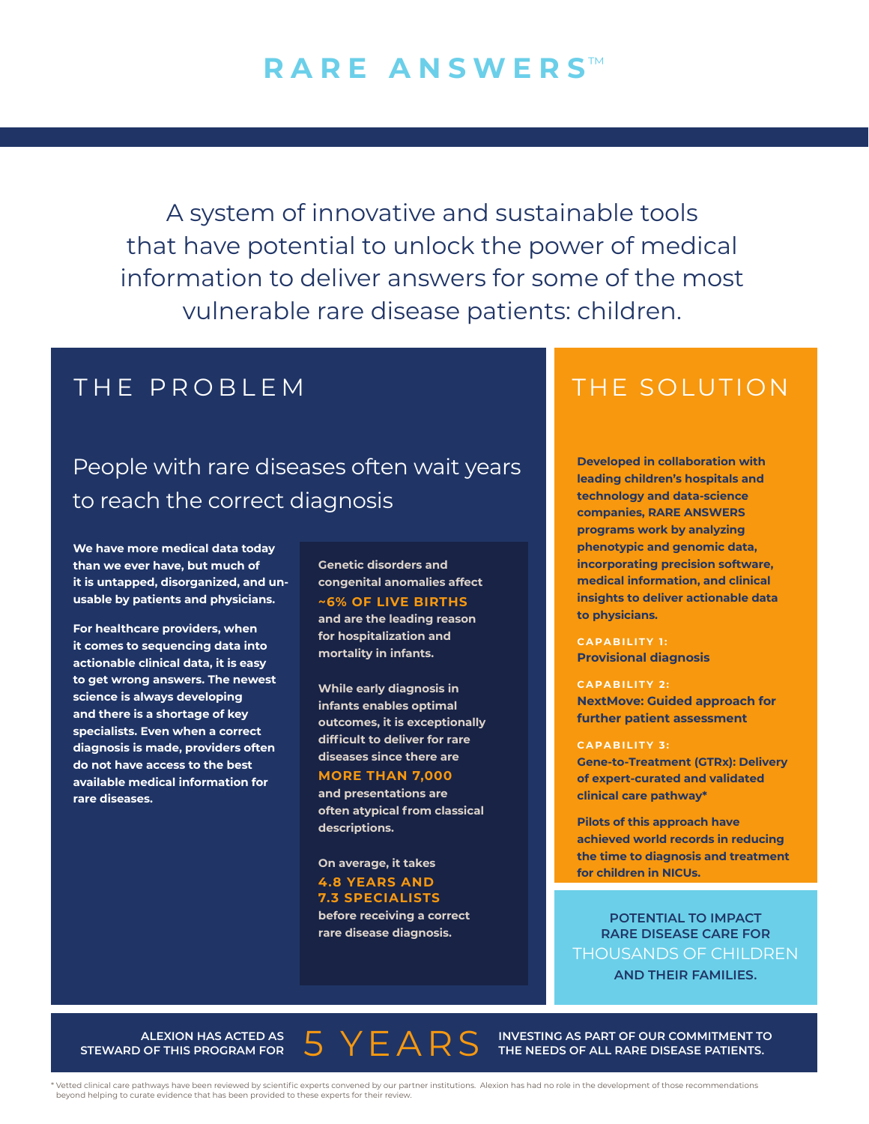# **RARE ANSWERS™**

A system of innovative and sustainable tools that have potential to unlock the power of medical information to deliver answers for some of the most vulnerable rare disease patients: children.

## People with rare diseases often wait years to reach the correct diagnosis

**We have more medical data today than we ever have, but much of it is untapped, disorganized, and unusable by patients and physicians.**

**For healthcare providers, when it comes to sequencing data into actionable clinical data, it is easy to get wrong answers. The newest science is always developing and there is a shortage of key specialists. Even when a correct diagnosis is made, providers often do not have access to the best available medical information for rare diseases.**

**Genetic disorders and congenital anomalies affect ~6% OF LIVE BIRTHS and are the leading reason for hospitalization and mortality in infants.** 

**While early diagnosis in infants enables optimal outcomes, it is exceptionally difficult to deliver for rare diseases since there are** 

### **MORE THAN 7,000**

**and presentations are often atypical from classical descriptions.** 

**On average, it takes 4.8 YEARS AND 7.3 SPECIALISTS before receiving a correct rare disease diagnosis.** 

### THE PROBLEM THE SOLUTION

**Developed in collaboration with leading children's hospitals and technology and data-science companies, RARE ANSWERS programs work by analyzing phenotypic and genomic data, incorporating precision software, medical information, and clinical insights to deliver actionable data to physicians.**

**CAPABILITY 1: Provisional diagnosis**

#### **CAPABILITY 2:**

**NextMove: Guided approach for further patient assessment**

#### **CAPABILITY 3:**

**Gene-to-Treatment (GTRx): Delivery of expert-curated and validated clinical care pathway\*** 

**Pilots of this approach have achieved world records in reducing the time to diagnosis and treatment for children in NICUs.**

**POTENTIAL TO IMPACT RARE DISEASE CARE FOR**  THOUSANDS OF CHILDREN **AND THEIR FAMILIES.**

ALEXION HAS ACTED AS 5 YEARS **STEWARD OF THIS PROGRAM FOR**

**INVESTING AS PART OF OUR COMMITMENT TO THE NEEDS OF ALL RARE DISEASE PATIENTS.**

\* Vetted clinical care pathways have been reviewed by scientific experts convened by our partner institutions. Alexion has had no role in the development of those recommendations beyond helping to curate evidence that has been provided to these experts for their review.